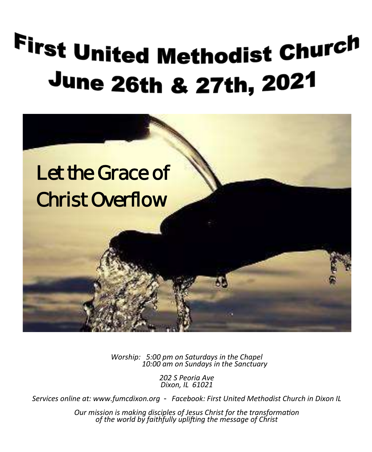# First United Methodist Church June 26th & 27th, 2021



*Worship: 5:00 pm on Saturdays in the Chapel 10:00 am on Sundays in the Sanctuary*

*Worship: 5:00 pm on Saturdays; 10:00 am on Sundays Dixon, IL 61021 202 S Peoria Ave*

*Services online at: www.fumcdixon.org - Facebook: First United Methodist Church in Dixon IL Services online at: www.fumcdixon.org - Facebook: First United Methodist Church in Dixon IL*

**Thanking disciples of Jesus Christ for the track of the filter of the disciples of Jesus Christ for the track o NOVEMBER 5 & 6, 2016** *Our mission is making disciples of Jesus Christ for the transformation of the world by faithfully uplifting the message of Christ Our mission is making disciples of Jesus Christ for the transformation of the world by faithfully uplifting the message of Christ*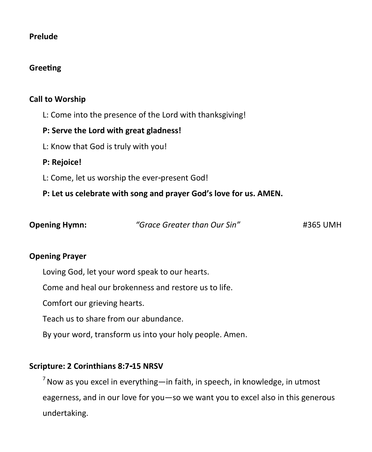#### **Prelude**

#### **Greeting**

#### **Call to Worship**

L: Come into the presence of the Lord with thanksgiving!

## **P: Serve the Lord with great gladness!**

L: Know that God is truly with you!

## **P: Rejoice!**

L: Come, let us worship the ever-present God!

## **P: Let us celebrate with song and prayer God's love for us. AMEN.**

| <b>Opening Hymn:</b> | "Grace Greater than Our Sin" | #365 UMH |
|----------------------|------------------------------|----------|
|                      |                              |          |

#### **Opening Prayer**

Loving God, let your word speak to our hearts.

Come and heal our brokenness and restore us to life.

Comfort our grieving hearts.

Teach us to share from our abundance.

By your word, transform us into your holy people. Amen.

## **Scripture: 2 Corinthians 8:7-15 NRSV**

 $<sup>7</sup>$  Now as you excel in everything—in faith, in speech, in knowledge, in utmost</sup> eagerness, and in our love for you—so we want you to excel also in this generous undertaking.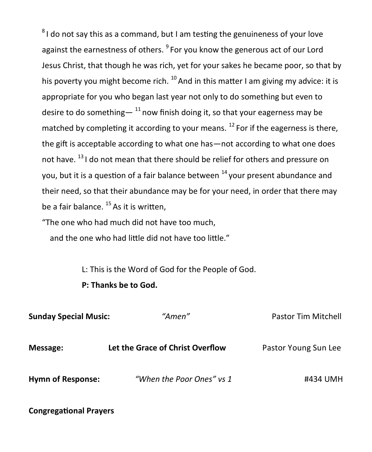${}^{8}$ I do not say this as a command, but I am testing the genuineness of your love against the earnestness of others. <sup>9</sup> For you know the generous act of our Lord Jesus Christ, that though he was rich, yet for your sakes he became poor, so that by his poverty you might become rich.  $^{10}$  And in this matter I am giving my advice: it is appropriate for you who began last year not only to do something but even to desire to do something—  $^{11}$  now finish doing it, so that your eagerness may be matched by completing it according to your means.  $^{12}$  For if the eagerness is there, the gift is acceptable according to what one has—not according to what one does not have. <sup>13</sup> I do not mean that there should be relief for others and pressure on you, but it is a question of a fair balance between  $14$  your present abundance and their need, so that their abundance may be for your need, in order that there may be a fair balance.  $^{15}$  As it is written,

"The one who had much did not have too much,

and the one who had little did not have too little."

L: This is the Word of God for the People of God.

**P: Thanks be to God.**

| <b>Sunday Special Music:</b> | "Amen"                           | <b>Pastor Tim Mitchell</b> |
|------------------------------|----------------------------------|----------------------------|
| Message:                     | Let the Grace of Christ Overflow | Pastor Young Sun Lee       |
| <b>Hymn of Response:</b>     | "When the Poor Ones" vs 1        | #434 UMH                   |

**Congregational Prayers**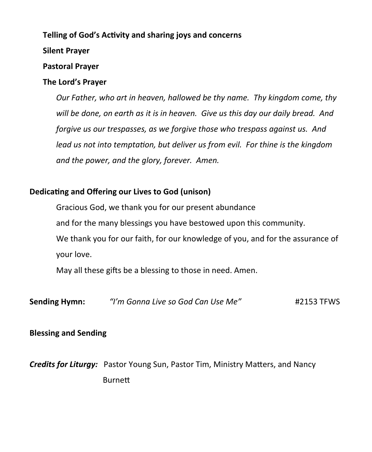#### **Telling of God's Activity and sharing joys and concerns**

#### **Silent Prayer**

#### **Pastoral Prayer**

## **The Lord's Prayer**

*Our Father, who art in heaven, hallowed be thy name. Thy kingdom come, thy will be done, on earth as it is in heaven. Give us this day our daily bread. And forgive us our trespasses, as we forgive those who trespass against us. And lead us not into temptation, but deliver us from evil. For thine is the kingdom and the power, and the glory, forever. Amen.*

## **Dedicating and Offering our Lives to God (unison)**

Gracious God, we thank you for our present abundance and for the many blessings you have bestowed upon this community. We thank you for our faith, for our knowledge of you, and for the assurance of your love.

May all these gifts be a blessing to those in need. Amen.

**Sending Hymn:** *"I'm Gonna Live so God Can Use Me"* #2153 TFWS

## **Blessing and Sending**

*Credits for Liturgy:* Pastor Young Sun, Pastor Tim, Ministry Matters, and Nancy Burnett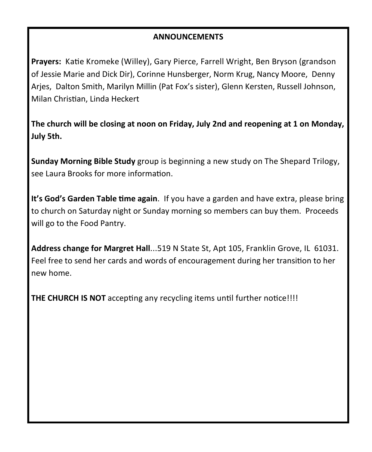### **ANNOUNCEMENTS**

**Prayers:** Katie Kromeke (Willey), Gary Pierce, Farrell Wright, Ben Bryson (grandson of Jessie Marie and Dick Dir), Corinne Hunsberger, Norm Krug, Nancy Moore, Denny Arjes, Dalton Smith, Marilyn Millin (Pat Fox's sister), Glenn Kersten, Russell Johnson, Milan Christian, Linda Heckert

**The church will be closing at noon on Friday, July 2nd and reopening at 1 on Monday, July 5th.**

**Sunday Morning Bible Study** group is beginning a new study on The Shepard Trilogy, see Laura Brooks for more information.

**It's God's Garden Table time again**. If you have a garden and have extra, please bring to church on Saturday night or Sunday morning so members can buy them. Proceeds will go to the Food Pantry.

**Address change for Margret Hall**...519 N State St, Apt 105, Franklin Grove, IL 61031. Feel free to send her cards and words of encouragement during her transition to her new home.

**THE CHURCH IS NOT** accepting any recycling items until further notice!!!!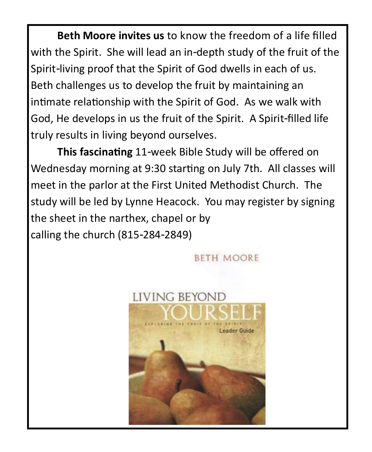**Beth Moore invites us** to know the freedom of a life filled with the Spirit. She will lead an in-depth study of the fruit of the Spirit-living proof that the Spirit of God dwells in each of us. Beth challenges us to develop the fruit by maintaining an intimate relationship with the Spirit of God. As we walk with God, He develops in us the fruit of the Spirit. A Spirit-filled life truly results in living beyond ourselves.

**This fascinating** 11-week Bible Study will be offered on Wednesday morning at 9:30 starting on July 7th. All classes will meet in the parlor at the First United Methodist Church. The study will be led by Lynne Heacock. You may register by signing the sheet in the narthex, chapel or by calling the church (815-284-2849)

**BETH MOORE** 

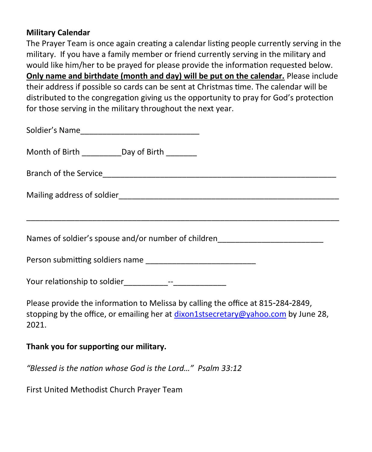### **Military Calendar**

The Prayer Team is once again creating a calendar listing people currently serving in the military. If you have a family member or friend currently serving in the military and would like him/her to be prayed for please provide the information requested below. **Only name and birthdate (month and day) will be put on the calendar.** Please include their address if possible so cards can be sent at Christmas time. The calendar will be distributed to the congregation giving us the opportunity to pray for God's protection for those serving in the military throughout the next year.

| Month of Birth ____________Day of Birth ________                                                                                                                                |
|---------------------------------------------------------------------------------------------------------------------------------------------------------------------------------|
|                                                                                                                                                                                 |
|                                                                                                                                                                                 |
| Names of soldier's spouse and/or number of children_____________________________                                                                                                |
|                                                                                                                                                                                 |
|                                                                                                                                                                                 |
| Please provide the information to Melissa by calling the office at 815-284-2849,<br>stopping by the office, or emailing her at dixon1stsecretary@yahoo.com by June 28,<br>2021. |

## **Thank you for supporting our military.**

*"Blessed is the nation whose God is the Lord…" Psalm 33:12*

First United Methodist Church Prayer Team